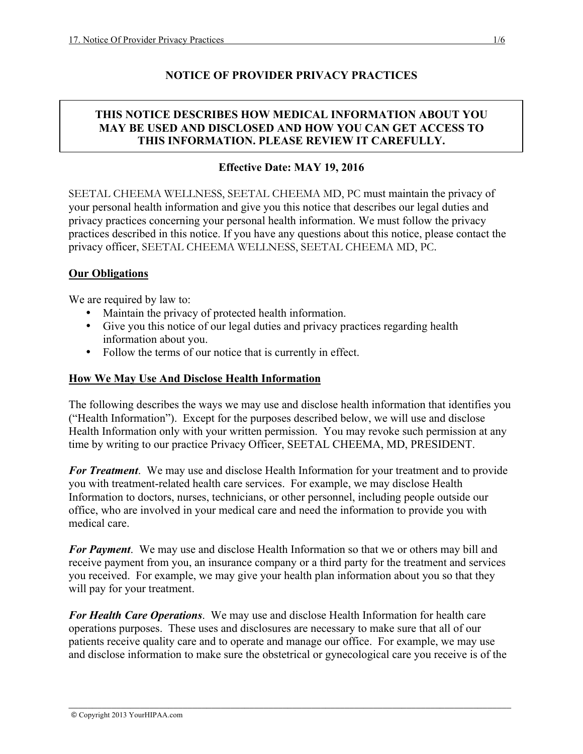## **NOTICE OF PROVIDER PRIVACY PRACTICES**

### **THIS NOTICE DESCRIBES HOW MEDICAL INFORMATION ABOUT YOU MAY BE USED AND DISCLOSED AND HOW YOU CAN GET ACCESS TO THIS INFORMATION. PLEASE REVIEW IT CAREFULLY.**

#### **Effective Date: MAY 19, 2016**

SEETAL CHEEMA WELLNESS, SEETAL CHEEMA MD, PC must maintain the privacy of your personal health information and give you this notice that describes our legal duties and privacy practices concerning your personal health information. We must follow the privacy practices described in this notice. If you have any questions about this notice, please contact the privacy officer, SEETAL CHEEMA WELLNESS, SEETAL CHEEMA MD, PC.

#### **Our Obligations**

We are required by law to:

- Maintain the privacy of protected health information.
- Give you this notice of our legal duties and privacy practices regarding health information about you.
- Follow the terms of our notice that is currently in effect.

#### **How We May Use And Disclose Health Information**

The following describes the ways we may use and disclose health information that identifies you ("Health Information"). Except for the purposes described below, we will use and disclose Health Information only with your written permission. You may revoke such permission at any time by writing to our practice Privacy Officer, SEETAL CHEEMA, MD, PRESIDENT.

*For Treatment*. We may use and disclose Health Information for your treatment and to provide you with treatment-related health care services. For example, we may disclose Health Information to doctors, nurses, technicians, or other personnel, including people outside our office, who are involved in your medical care and need the information to provide you with medical care.

*For Payment*. We may use and disclose Health Information so that we or others may bill and receive payment from you, an insurance company or a third party for the treatment and services you received. For example, we may give your health plan information about you so that they will pay for your treatment.

*For Health Care Operations*. We may use and disclose Health Information for health care operations purposes. These uses and disclosures are necessary to make sure that all of our patients receive quality care and to operate and manage our office. For example, we may use and disclose information to make sure the obstetrical or gynecological care you receive is of the

\_\_\_\_\_\_\_\_\_\_\_\_\_\_\_\_\_\_\_\_\_\_\_\_\_\_\_\_\_\_\_\_\_\_\_\_\_\_\_\_\_\_\_\_\_\_\_\_\_\_\_\_\_\_\_\_\_\_\_\_\_\_\_\_\_\_\_\_\_\_\_\_\_\_\_\_\_\_\_\_\_\_\_\_\_\_\_\_\_\_\_\_\_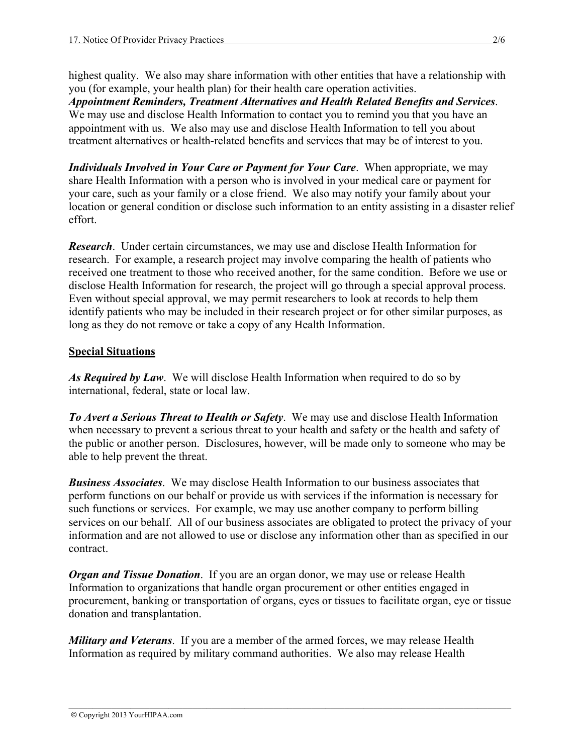highest quality. We also may share information with other entities that have a relationship with you (for example, your health plan) for their health care operation activities.

*Appointment Reminders, Treatment Alternatives and Health Related Benefits and Services*. We may use and disclose Health Information to contact you to remind you that you have an appointment with us. We also may use and disclose Health Information to tell you about treatment alternatives or health-related benefits and services that may be of interest to you.

*Individuals Involved in Your Care or Payment for Your Care*. When appropriate, we may share Health Information with a person who is involved in your medical care or payment for your care, such as your family or a close friend. We also may notify your family about your location or general condition or disclose such information to an entity assisting in a disaster relief effort.

*Research*. Under certain circumstances, we may use and disclose Health Information for research. For example, a research project may involve comparing the health of patients who received one treatment to those who received another, for the same condition. Before we use or disclose Health Information for research, the project will go through a special approval process. Even without special approval, we may permit researchers to look at records to help them identify patients who may be included in their research project or for other similar purposes, as long as they do not remove or take a copy of any Health Information.

## **Special Situations**

*As Required by Law*. We will disclose Health Information when required to do so by international, federal, state or local law.

*To Avert a Serious Threat to Health or Safety*. We may use and disclose Health Information when necessary to prevent a serious threat to your health and safety or the health and safety of the public or another person. Disclosures, however, will be made only to someone who may be able to help prevent the threat.

*Business Associates*. We may disclose Health Information to our business associates that perform functions on our behalf or provide us with services if the information is necessary for such functions or services. For example, we may use another company to perform billing services on our behalf. All of our business associates are obligated to protect the privacy of your information and are not allowed to use or disclose any information other than as specified in our contract.

*Organ and Tissue Donation*. If you are an organ donor, we may use or release Health Information to organizations that handle organ procurement or other entities engaged in procurement, banking or transportation of organs, eyes or tissues to facilitate organ, eye or tissue donation and transplantation.

*Military and Veterans*. If you are a member of the armed forces, we may release Health Information as required by military command authorities. We also may release Health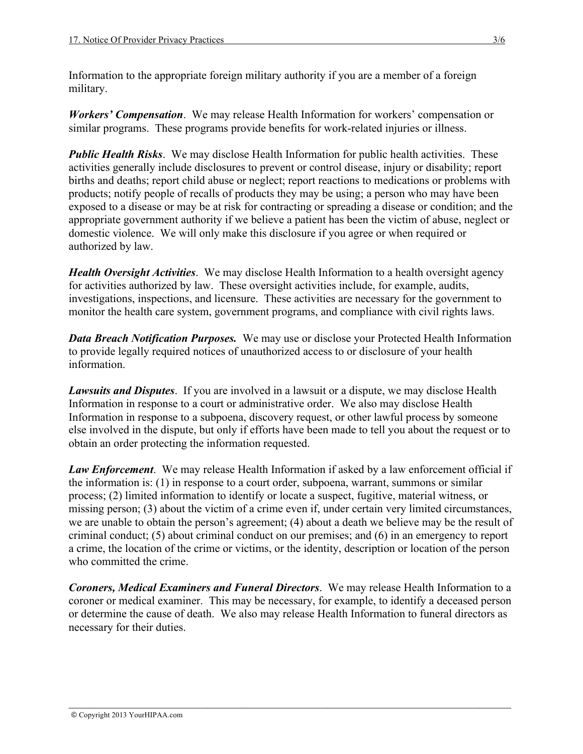Information to the appropriate foreign military authority if you are a member of a foreign military.

*Workers' Compensation*. We may release Health Information for workers' compensation or similar programs. These programs provide benefits for work-related injuries or illness.

*Public Health Risks.* We may disclose Health Information for public health activities. These activities generally include disclosures to prevent or control disease, injury or disability; report births and deaths; report child abuse or neglect; report reactions to medications or problems with products; notify people of recalls of products they may be using; a person who may have been exposed to a disease or may be at risk for contracting or spreading a disease or condition; and the appropriate government authority if we believe a patient has been the victim of abuse, neglect or domestic violence. We will only make this disclosure if you agree or when required or authorized by law.

*Health Oversight Activities*. We may disclose Health Information to a health oversight agency for activities authorized by law. These oversight activities include, for example, audits, investigations, inspections, and licensure. These activities are necessary for the government to monitor the health care system, government programs, and compliance with civil rights laws.

*Data Breach Notification Purposes.* We may use or disclose your Protected Health Information to provide legally required notices of unauthorized access to or disclosure of your health information.

*Lawsuits and Disputes*. If you are involved in a lawsuit or a dispute, we may disclose Health Information in response to a court or administrative order. We also may disclose Health Information in response to a subpoena, discovery request, or other lawful process by someone else involved in the dispute, but only if efforts have been made to tell you about the request or to obtain an order protecting the information requested.

*Law Enforcement*. We may release Health Information if asked by a law enforcement official if the information is: (1) in response to a court order, subpoena, warrant, summons or similar process; (2) limited information to identify or locate a suspect, fugitive, material witness, or missing person; (3) about the victim of a crime even if, under certain very limited circumstances, we are unable to obtain the person's agreement; (4) about a death we believe may be the result of criminal conduct; (5) about criminal conduct on our premises; and (6) in an emergency to report a crime, the location of the crime or victims, or the identity, description or location of the person who committed the crime.

*Coroners, Medical Examiners and Funeral Directors*. We may release Health Information to a coroner or medical examiner. This may be necessary, for example, to identify a deceased person or determine the cause of death. We also may release Health Information to funeral directors as necessary for their duties.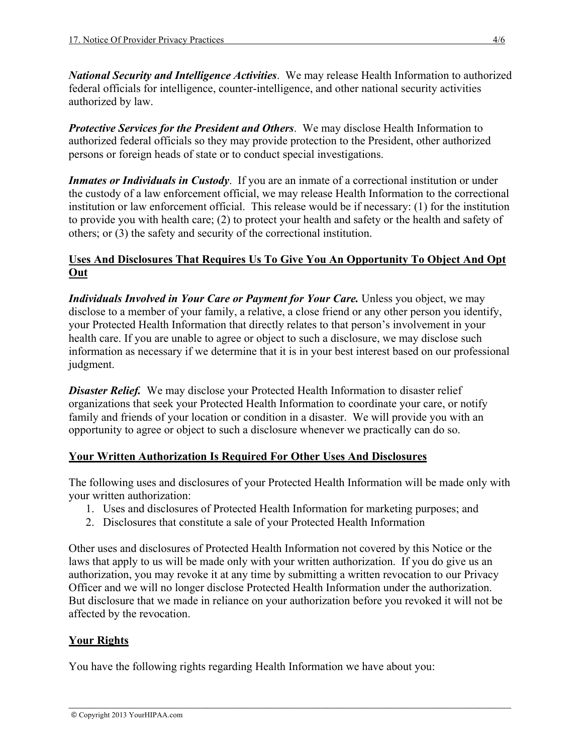*National Security and Intelligence Activities*. We may release Health Information to authorized federal officials for intelligence, counter-intelligence, and other national security activities authorized by law.

*Protective Services for the President and Others*. We may disclose Health Information to authorized federal officials so they may provide protection to the President, other authorized persons or foreign heads of state or to conduct special investigations.

*Inmates or Individuals in Custody*. If you are an inmate of a correctional institution or under the custody of a law enforcement official, we may release Health Information to the correctional institution or law enforcement official. This release would be if necessary: (1) for the institution to provide you with health care; (2) to protect your health and safety or the health and safety of others; or (3) the safety and security of the correctional institution.

## **Uses And Disclosures That Requires Us To Give You An Opportunity To Object And Opt Out**

*Individuals Involved in Your Care or Payment for Your Care.* Unless you object, we may disclose to a member of your family, a relative, a close friend or any other person you identify, your Protected Health Information that directly relates to that person's involvement in your health care. If you are unable to agree or object to such a disclosure, we may disclose such information as necessary if we determine that it is in your best interest based on our professional judgment.

**Disaster Relief.** We may disclose your Protected Health Information to disaster relief organizations that seek your Protected Health Information to coordinate your care, or notify family and friends of your location or condition in a disaster. We will provide you with an opportunity to agree or object to such a disclosure whenever we practically can do so.

## **Your Written Authorization Is Required For Other Uses And Disclosures**

The following uses and disclosures of your Protected Health Information will be made only with your written authorization:

- 1. Uses and disclosures of Protected Health Information for marketing purposes; and
- 2. Disclosures that constitute a sale of your Protected Health Information

Other uses and disclosures of Protected Health Information not covered by this Notice or the laws that apply to us will be made only with your written authorization. If you do give us an authorization, you may revoke it at any time by submitting a written revocation to our Privacy Officer and we will no longer disclose Protected Health Information under the authorization. But disclosure that we made in reliance on your authorization before you revoked it will not be affected by the revocation.

# **Your Rights**

You have the following rights regarding Health Information we have about you: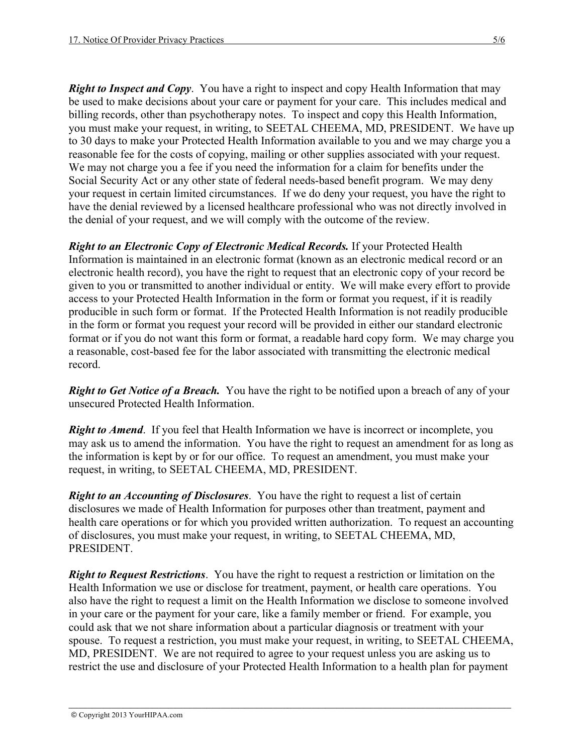*Right to Inspect and Copy.* You have a right to inspect and copy Health Information that may be used to make decisions about your care or payment for your care. This includes medical and billing records, other than psychotherapy notes. To inspect and copy this Health Information, you must make your request, in writing, to SEETAL CHEEMA, MD, PRESIDENT. We have up to 30 days to make your Protected Health Information available to you and we may charge you a reasonable fee for the costs of copying, mailing or other supplies associated with your request. We may not charge you a fee if you need the information for a claim for benefits under the Social Security Act or any other state of federal needs-based benefit program. We may deny your request in certain limited circumstances. If we do deny your request, you have the right to have the denial reviewed by a licensed healthcare professional who was not directly involved in the denial of your request, and we will comply with the outcome of the review.

*Right to an Electronic Copy of Electronic Medical Records.* If your Protected Health Information is maintained in an electronic format (known as an electronic medical record or an electronic health record), you have the right to request that an electronic copy of your record be given to you or transmitted to another individual or entity. We will make every effort to provide access to your Protected Health Information in the form or format you request, if it is readily producible in such form or format. If the Protected Health Information is not readily producible in the form or format you request your record will be provided in either our standard electronic format or if you do not want this form or format, a readable hard copy form. We may charge you a reasonable, cost-based fee for the labor associated with transmitting the electronic medical record.

*Right to Get Notice of a Breach.* You have the right to be notified upon a breach of any of your unsecured Protected Health Information.

*Right to Amend.* If you feel that Health Information we have is incorrect or incomplete, you may ask us to amend the information. You have the right to request an amendment for as long as the information is kept by or for our office. To request an amendment, you must make your request, in writing, to SEETAL CHEEMA, MD, PRESIDENT.

*Right to an Accounting of Disclosures*. You have the right to request a list of certain disclosures we made of Health Information for purposes other than treatment, payment and health care operations or for which you provided written authorization. To request an accounting of disclosures, you must make your request, in writing, to SEETAL CHEEMA, MD, PRESIDENT.

*Right to Request Restrictions*. You have the right to request a restriction or limitation on the Health Information we use or disclose for treatment, payment, or health care operations. You also have the right to request a limit on the Health Information we disclose to someone involved in your care or the payment for your care, like a family member or friend. For example, you could ask that we not share information about a particular diagnosis or treatment with your spouse. To request a restriction, you must make your request, in writing, to SEETAL CHEEMA, MD, PRESIDENT. We are not required to agree to your request unless you are asking us to restrict the use and disclosure of your Protected Health Information to a health plan for payment